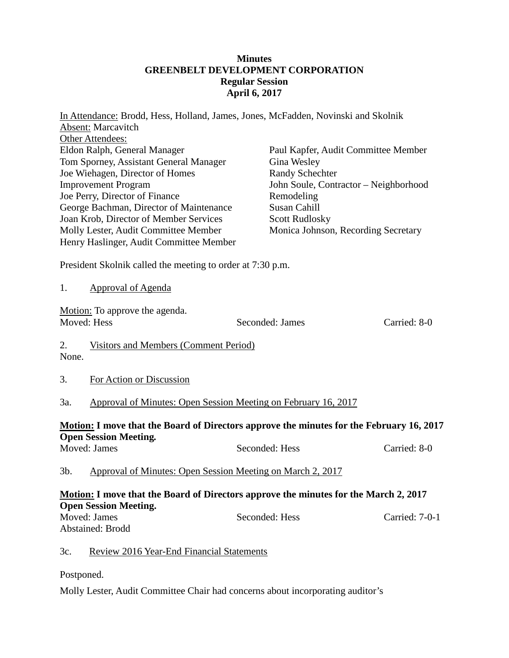## **Minutes GREENBELT DEVELOPMENT CORPORATION Regular Session April 6, 2017**

|                                                                                                                                                                                                                                                                                                                                                                       | In Attendance: Brodd, Hess, Holland, James, Jones, McFadden, Novinski and Skolnik<br><b>Absent:</b> Marcavitch |  |                                                                                                                                                                                                                            |                |  |
|-----------------------------------------------------------------------------------------------------------------------------------------------------------------------------------------------------------------------------------------------------------------------------------------------------------------------------------------------------------------------|----------------------------------------------------------------------------------------------------------------|--|----------------------------------------------------------------------------------------------------------------------------------------------------------------------------------------------------------------------------|----------------|--|
| Other Attendees:<br>Eldon Ralph, General Manager<br>Tom Sporney, Assistant General Manager<br>Joe Wiehagen, Director of Homes<br><b>Improvement Program</b><br>Joe Perry, Director of Finance<br>George Bachman, Director of Maintenance<br>Joan Krob, Director of Member Services<br>Molly Lester, Audit Committee Member<br>Henry Haslinger, Audit Committee Member |                                                                                                                |  | Paul Kapfer, Audit Committee Member<br>Gina Wesley<br><b>Randy Schechter</b><br>John Soule, Contractor - Neighborhood<br>Remodeling<br><b>Susan Cahill</b><br><b>Scott Rudlosky</b><br>Monica Johnson, Recording Secretary |                |  |
| President Skolnik called the meeting to order at 7:30 p.m.                                                                                                                                                                                                                                                                                                            |                                                                                                                |  |                                                                                                                                                                                                                            |                |  |
| 1.                                                                                                                                                                                                                                                                                                                                                                    | <b>Approval of Agenda</b>                                                                                      |  |                                                                                                                                                                                                                            |                |  |
| Motion: To approve the agenda.<br>Moved: Hess                                                                                                                                                                                                                                                                                                                         |                                                                                                                |  | Seconded: James                                                                                                                                                                                                            | Carried: 8-0   |  |
| 2.<br>None.                                                                                                                                                                                                                                                                                                                                                           | Visitors and Members (Comment Period)                                                                          |  |                                                                                                                                                                                                                            |                |  |
| 3.                                                                                                                                                                                                                                                                                                                                                                    | For Action or Discussion                                                                                       |  |                                                                                                                                                                                                                            |                |  |
| 3a.                                                                                                                                                                                                                                                                                                                                                                   | Approval of Minutes: Open Session Meeting on February 16, 2017                                                 |  |                                                                                                                                                                                                                            |                |  |
| <b>Motion: I move that the Board of Directors approve the minutes for the February 16, 2017</b>                                                                                                                                                                                                                                                                       |                                                                                                                |  |                                                                                                                                                                                                                            |                |  |
|                                                                                                                                                                                                                                                                                                                                                                       | <b>Open Session Meeting.</b><br>Moved: James                                                                   |  | Seconded: Hess                                                                                                                                                                                                             | Carried: 8-0   |  |
| $3b$ .                                                                                                                                                                                                                                                                                                                                                                | Approval of Minutes: Open Session Meeting on March 2, 2017                                                     |  |                                                                                                                                                                                                                            |                |  |
| Motion: I move that the Board of Directors approve the minutes for the March 2, 2017<br><b>Open Session Meeting.</b>                                                                                                                                                                                                                                                  |                                                                                                                |  |                                                                                                                                                                                                                            |                |  |
|                                                                                                                                                                                                                                                                                                                                                                       | Moved: James                                                                                                   |  | Seconded: Hess                                                                                                                                                                                                             | Carried: 7-0-1 |  |
|                                                                                                                                                                                                                                                                                                                                                                       | Abstained: Brodd                                                                                               |  |                                                                                                                                                                                                                            |                |  |
| 3c.                                                                                                                                                                                                                                                                                                                                                                   | Review 2016 Year-End Financial Statements                                                                      |  |                                                                                                                                                                                                                            |                |  |

Postponed.

Molly Lester, Audit Committee Chair had concerns about incorporating auditor's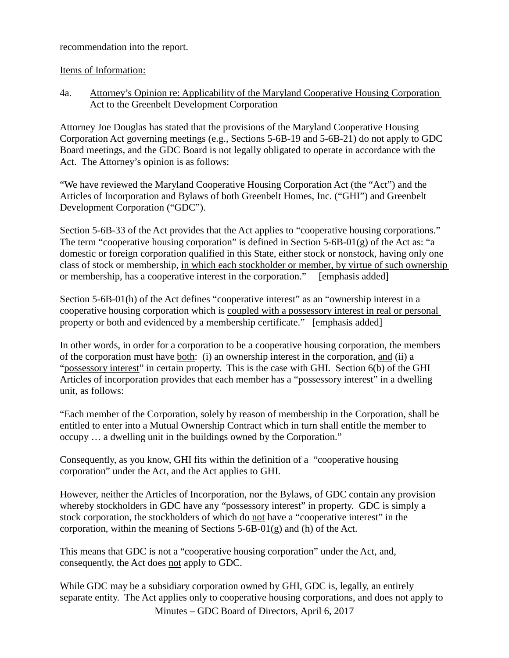recommendation into the report.

Items of Information:

4a. Attorney's Opinion re: Applicability of the Maryland Cooperative Housing Corporation Act to the Greenbelt Development Corporation

Attorney Joe Douglas has stated that the provisions of the Maryland Cooperative Housing Corporation Act governing meetings (e.g., Sections 5-6B-19 and 5-6B-21) do not apply to GDC Board meetings, and the GDC Board is not legally obligated to operate in accordance with the Act. The Attorney's opinion is as follows:

"We have reviewed the Maryland Cooperative Housing Corporation Act (the "Act") and the Articles of Incorporation and Bylaws of both Greenbelt Homes, Inc. ("GHI") and Greenbelt Development Corporation ("GDC").

Section 5-6B-33 of the Act provides that the Act applies to "cooperative housing corporations." The term "cooperative housing corporation" is defined in Section 5-6B-01(g) of the Act as: "a domestic or foreign corporation qualified in this State, either stock or nonstock, having only one class of stock or membership, in which each stockholder or member, by virtue of such ownership or membership, has a cooperative interest in the corporation." [emphasis added]

Section 5-6B-01(h) of the Act defines "cooperative interest" as an "ownership interest in a cooperative housing corporation which is coupled with a possessory interest in real or personal property or both and evidenced by a membership certificate." [emphasis added]

In other words, in order for a corporation to be a cooperative housing corporation, the members of the corporation must have both: (i) an ownership interest in the corporation, and (ii) a "possessory interest" in certain property. This is the case with GHI. Section 6(b) of the GHI Articles of incorporation provides that each member has a "possessory interest" in a dwelling unit, as follows:

"Each member of the Corporation, solely by reason of membership in the Corporation, shall be entitled to enter into a Mutual Ownership Contract which in turn shall entitle the member to occupy … a dwelling unit in the buildings owned by the Corporation."

Consequently, as you know, GHI fits within the definition of a "cooperative housing corporation" under the Act, and the Act applies to GHI.

However, neither the Articles of Incorporation, nor the Bylaws, of GDC contain any provision whereby stockholders in GDC have any "possessory interest" in property. GDC is simply a stock corporation, the stockholders of which do not have a "cooperative interest" in the corporation, within the meaning of Sections  $5-6B-01(g)$  and (h) of the Act.

This means that GDC is not a "cooperative housing corporation" under the Act, and, consequently, the Act does not apply to GDC.

While GDC may be a subsidiary corporation owned by GHI, GDC is, legally, an entirely separate entity. The Act applies only to cooperative housing corporations, and does not apply to

Minutes – GDC Board of Directors, April 6, 2017